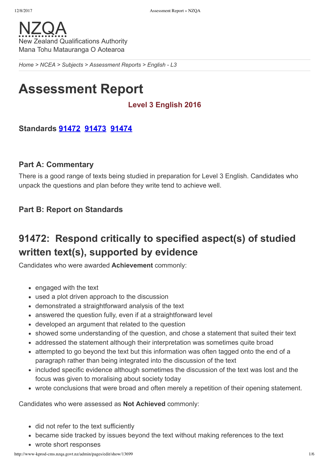*[Home](http://www-kprod-cms.nzqa.govt.nz/home) > [NCEA](http://www-kprod-cms.nzqa.govt.nz/ncea/) > [Subjects](http://www-kprod-cms.nzqa.govt.nz/ncea/subjects/) > [Assessment](http://www-kprod-cms.nzqa.govt.nz/ncea/subjects/assessment-reports/) Reports > English L3*

# **Assessment Report**

## **Level 3 English 2016**

## **Standards [91472](http://www-kprod-cms.nzqa.govt.nz/ncea/subjects/assessment-reports/english-l3/?stage=Stage#91472) [91473](http://www-kprod-cms.nzqa.govt.nz/ncea/subjects/assessment-reports/english-l3/?stage=Stage#91473) [91474](http://www-kprod-cms.nzqa.govt.nz/ncea/subjects/assessment-reports/english-l3/?stage=Stage#91474)**

### **Part A: Commentary**

There is a good range of texts being studied in preparation for Level 3 English. Candidates who unpack the questions and plan before they write tend to achieve well.

### **Part B: Report on Standards**

## **91472: Respond critically to specified aspect(s) of studied written text(s), supported by evidence**

Candidates who were awarded **Achievement** commonly:

- engaged with the text
- used a plot driven approach to the discussion
- demonstrated a straightforward analysis of the text
- answered the question fully, even if at a straightforward level
- developed an argument that related to the question
- showed some understanding of the question, and chose a statement that suited their text
- addressed the statement although their interpretation was sometimes quite broad
- attempted to go beyond the text but this information was often tagged onto the end of a paragraph rather than being integrated into the discussion of the text
- included specific evidence although sometimes the discussion of the text was lost and the focus was given to moralising about society today
- wrote conclusions that were broad and often merely a repetition of their opening statement.

Candidates who were assessed as **Not Achieved** commonly:

- did not refer to the text sufficiently
- became side tracked by issues beyond the text without making references to the text
- wrote short responses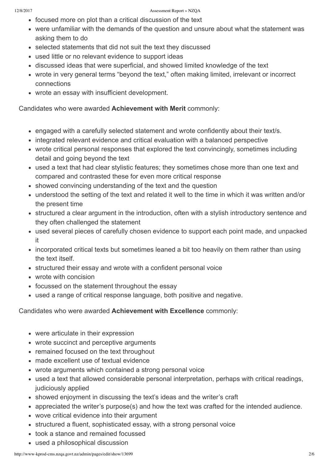- focused more on plot than a critical discussion of the text
- were unfamiliar with the demands of the question and unsure about what the statement was asking them to do
- selected statements that did not suit the text they discussed
- used little or no relevant evidence to support ideas
- discussed ideas that were superficial, and showed limited knowledge of the text
- wrote in very general terms "beyond the text," often making limited, irrelevant or incorrect connections
- wrote an essay with insufficient development.

Candidates who were awarded **Achievement with Merit** commonly:

- engaged with a carefully selected statement and wrote confidently about their text/s.
- integrated relevant evidence and critical evaluation with a balanced perspective
- wrote critical personal responses that explored the text convincingly, sometimes including detail and going beyond the text
- used a text that had clear stylistic features; they sometimes chose more than one text and compared and contrasted these for even more critical response
- showed convincing understanding of the text and the question
- understood the setting of the text and related it well to the time in which it was written and/or the present time
- structured a clear argument in the introduction, often with a stylish introductory sentence and they often challenged the statement
- used several pieces of carefully chosen evidence to support each point made, and unpacked it
- incorporated critical texts but sometimes leaned a bit too heavily on them rather than using the text itself.
- structured their essay and wrote with a confident personal voice
- wrote with concision
- focussed on the statement throughout the essay
- used a range of critical response language, both positive and negative.

Candidates who were awarded **Achievement with Excellence** commonly:

- were articulate in their expression
- wrote succinct and perceptive arguments
- remained focused on the text throughout
- made excellent use of textual evidence
- wrote arguments which contained a strong personal voice
- used a text that allowed considerable personal interpretation, perhaps with critical readings, judiciously applied
- showed enjoyment in discussing the text's ideas and the writer's craft
- appreciated the writer's purpose(s) and how the text was crafted for the intended audience.
- wove critical evidence into their argument
- structured a fluent, sophisticated essay, with a strong personal voice
- took a stance and remained focussed
- used a philosophical discussion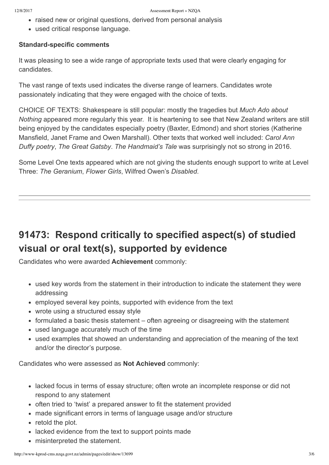- raised new or original questions, derived from personal analysis
- used critical response language.

#### **Standard-specific comments**

It was pleasing to see a wide range of appropriate texts used that were clearly engaging for candidates.

The vast range of texts used indicates the diverse range of learners. Candidates wrote passionately indicating that they were engaged with the choice of texts.

CHOICE OF TEXTS: Shakespeare is still popular: mostly the tragedies but *Much Ado about Nothing* appeared more regularly this year. It is heartening to see that New Zealand writers are still being enjoyed by the candidates especially poetry (Baxter, Edmond) and short stories (Katherine Mansfield, Janet Frame and Owen Marshall). Other texts that worked well included: *Carol Ann Duffy poetry*, *The Great Gatsby*. *The Handmaid's Tale* was surprisingly not so strong in 2016.

Some Level One texts appeared which are not giving the students enough support to write at Level Three: *The Geranium*, *Flower Girls*, Wilfred Owen's *Disabled*.

## **91473: Respond critically to specified aspect(s) of studied visual or oral text(s), supported by evidence**

Candidates who were awarded **Achievement** commonly:

- used key words from the statement in their introduction to indicate the statement they were addressing
- employed several key points, supported with evidence from the text
- wrote using a structured essay style
- formulated a basic thesis statement often agreeing or disagreeing with the statement
- used language accurately much of the time
- used examples that showed an understanding and appreciation of the meaning of the text and/or the director's purpose.

Candidates who were assessed as **Not Achieved** commonly:

- lacked focus in terms of essay structure; often wrote an incomplete response or did not respond to any statement
- often tried to 'twist' a prepared answer to fit the statement provided
- made significant errors in terms of language usage and/or structure
- retold the plot.
- lacked evidence from the text to support points made
- misinterpreted the statement.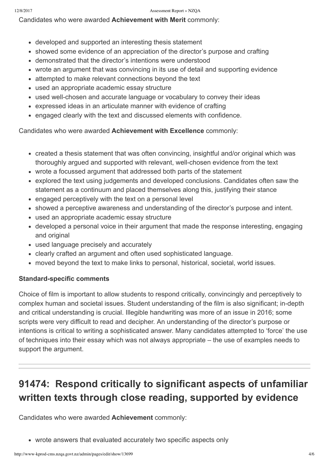Candidates who were awarded **Achievement with Merit** commonly:

- developed and supported an interesting thesis statement
- showed some evidence of an appreciation of the director's purpose and crafting
- demonstrated that the director's intentions were understood
- wrote an argument that was convincing in its use of detail and supporting evidence
- attempted to make relevant connections beyond the text
- used an appropriate academic essay structure
- used well-chosen and accurate language or vocabulary to convey their ideas
- expressed ideas in an articulate manner with evidence of crafting
- engaged clearly with the text and discussed elements with confidence.

Candidates who were awarded **Achievement with Excellence** commonly:

- created a thesis statement that was often convincing, insightful and/or original which was thoroughly argued and supported with relevant, well-chosen evidence from the text
- wrote a focussed argument that addressed both parts of the statement
- explored the text using judgements and developed conclusions. Candidates often saw the statement as a continuum and placed themselves along this, justifying their stance
- engaged perceptively with the text on a personal level
- showed a perceptive awareness and understanding of the director's purpose and intent.
- used an appropriate academic essay structure
- developed a personal voice in their argument that made the response interesting, engaging and original
- used language precisely and accurately
- clearly crafted an argument and often used sophisticated language.
- moved beyond the text to make links to personal, historical, societal, world issues.

## **Standard-specific comments**

Choice of film is important to allow students to respond critically, convincingly and perceptively to complex human and societal issues. Student understanding of the film is also significant; in-depth and critical understanding is crucial. Illegible handwriting was more of an issue in 2016; some scripts were very difficult to read and decipher. An understanding of the director's purpose or intentions is critical to writing a sophisticated answer. Many candidates attempted to 'force' the use of techniques into their essay which was not always appropriate – the use of examples needs to support the argument.

## **91474: Respond critically to significant aspects of unfamiliar written texts through close reading, supported by evidence**

Candidates who were awarded **Achievement** commonly:

wrote answers that evaluated accurately two specific aspects only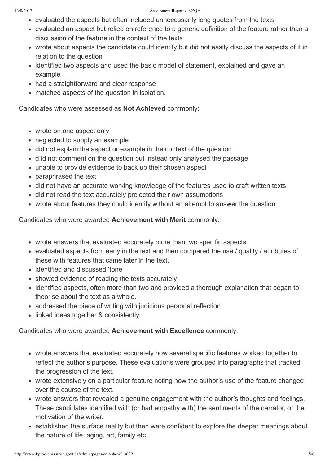- evaluated the aspects but often included unnecessarily long quotes from the texts
- evaluated an aspect but relied on reference to a generic definition of the feature rather than a discussion of the feature in the context of the texts
- wrote about aspects the candidate could identify but did not easily discuss the aspects of it in relation to the question
- identified two aspects and used the basic model of statement, explained and gave an example
- had a straightforward and clear response
- matched aspects of the question in isolation.

Candidates who were assessed as **Not Achieved** commonly:

- wrote on one aspect only
- neglected to supply an example
- did not explain the aspect or example in the context of the question
- d id not comment on the question but instead only analysed the passage
- unable to provide evidence to back up their chosen aspect
- paraphrased the text
- did not have an accurate working knowledge of the features used to craft written texts
- did not read the text accurately projected their own assumptions
- wrote about features they could identify without an attempt to answer the question.

Candidates who were awarded **Achievement with Merit** commonly:

- wrote answers that evaluated accurately more than two specific aspects.
- evaluated aspects from early in the text and then compared the use / quality / attributes of these with features that came later in the text.
- identified and discussed 'tone'
- showed evidence of reading the texts accurately
- identified aspects, often more than two and provided a thorough explanation that began to theorise about the text as a whole.
- addressed the piece of writing with judicious personal reflection
- linked ideas together & consistently.

Candidates who were awarded **Achievement with Excellence** commonly:

- wrote answers that evaluated accurately how several specific features worked together to reflect the author's purpose. These evaluations were grouped into paragraphs that tracked the progression of the text.
- wrote extensively on a particular feature noting how the author's use of the feature changed over the course of the text.
- wrote answers that revealed a genuine engagement with the author's thoughts and feelings. These candidates identified with (or had empathy with) the sentiments of the narrator, or the motivation of the writer.
- established the surface reality but then were confident to explore the deeper meanings about the nature of life, aging, art, family etc.